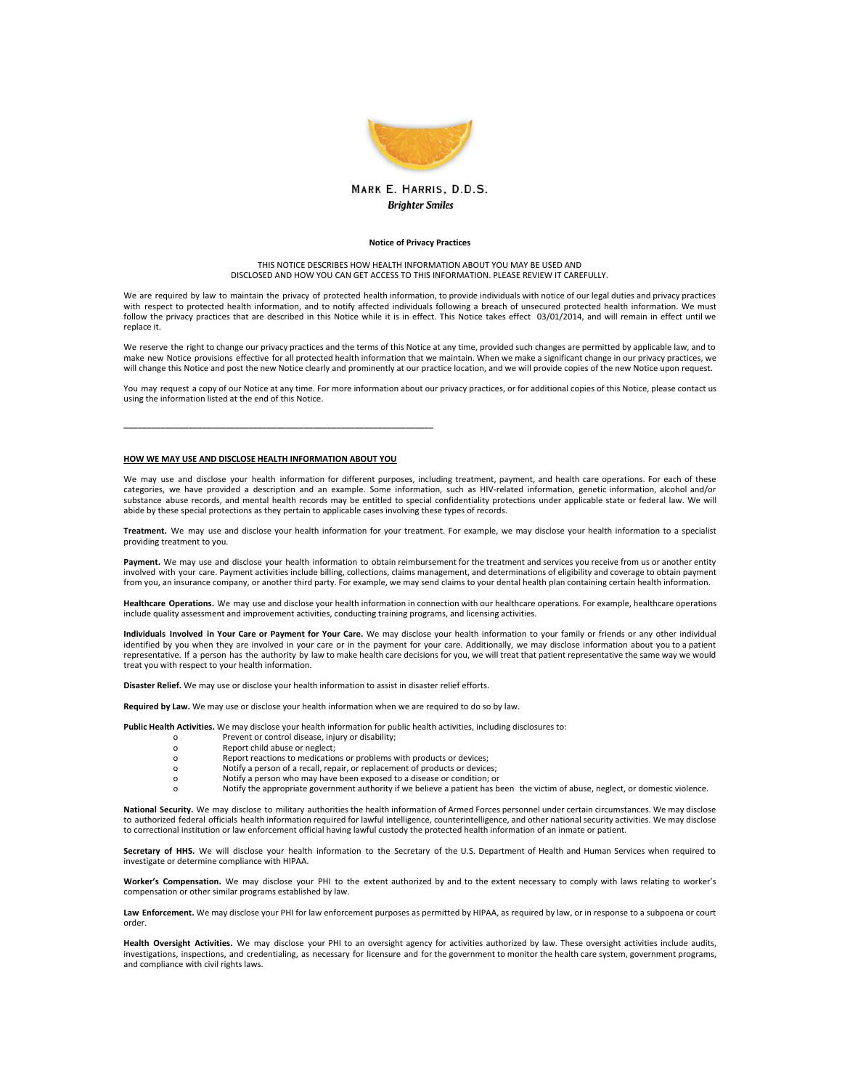

# **Brighter Smiles**

## Notice of Privacy Practices

### THIS NOTICE DESCRIBES HOW HEALTH INFORMATION ABOUT YOU MAY BE USED AND DISCLOSED AND HOW YOU CAN GET ACCESS TO THIS INFORMATION. PLEASE REVIEW IT CAREFULLY.

We are required by law to maintain the privacy of protected health information, to provide individuals with notice of our legal duties and privacy practices with respect to protected health information, and to notify affected individuals following a breach of unsecured protected health information. We must<br>follow the privacy practices that are described in this Notice while it replace it.

We reserve the right to change our privacy practices and the terms of this Notice at any time, provided such changes are permitted by applicable law, and to make new Notice provisions effective for all protected health information that we maintain. When we make a significant change in our privacy practices, we will change this Notice and post the new Notice clearly and prominently at our practice location, and we will provide copies of the new Notice upon request.

You may request a copy of our Notice at any time. For more information about our privacy practices, or for additional copies of this Notice, please contact us using the information listed at the end of this Notice.

# HOW WE MAY USE AND DISCLOSE HEALTH INFORMATION ABOUT YOU

\_\_\_\_\_\_\_\_\_\_\_\_\_\_\_\_\_\_\_\_\_\_\_\_\_\_\_\_\_\_\_\_\_\_\_\_\_\_\_\_\_\_\_\_\_\_\_\_\_\_\_\_\_\_\_\_\_\_\_\_\_\_\_\_\_\_\_

We may use and disclose your health information for different purposes, including treatment, payment, and health care operations. For each of these categories, we have provided a description and an example. Some information, such as HIVrelated information, genetic information, alcohol and/or substance abuse records, and mental health records may be entitled to special confidentiality protections under applicable state or federal law. We will abide by these special protections as they pertain to applicable cases involving these types of records.

Treatment. We may use and disclose your health information for your treatment. For example, we may disclose your health information to a specialist providing treatment to you.

Payment. We may use and disclose your health information to obtain reimbursement for the treatment and services you receive from us or another entity involved with your care. Payment activities include billing, collections, claims management, and determinations of eligibility and coverage to obtain payment from you, an insurance company, or another third party. For example, we may send claims to your dental health plan containing certain health information.

Healthcare Operations. We may use and disclose your health information in connection with our healthcare operations. For example, healthcare operations include quality assessment and improvement activities, conducting training programs, and licensing activities.

Individuals Involved in Your Care or Payment for Your Care. We may disclose your health information to your family or friends or any other individual identified by you when they are involved in your care or in the payment for your care. Additionally, we may disclose information about you to a patient<br>representative. If a person has the authority by law to make health ca treat you with respect to your health information.

Disaster Relief. We may use or disclose your health information to assist in disaster relief efforts.

Required by Law. We may use or disclose your health information when we are required to do so by law.

Public Health Activities. We may disclose your health information for public health activities, including disclosures to:<br>O Prevent or control disease. iniury or disability:

- o Prevent or control disease, injury or disability;
- o Report child abuse or neglect;<br>o Report reactions to medication
- o Report reactions to medications or problems with products or devices;
- o Notify a person of a recall, repair, or replacement of products or devices;
	- Notify a person who may have been exposed to a disease or condition; or
- o Notify the appropriate government authority if we believe a patient has been the victim of abuse, neglect, or domestic violence.

National Security. We may disclose to military authorities the health information of Armed Forces personnel under certain circumstances. We may disclose to authorized federal officials health information required for lawful intelligence, counterintelligence, and other national security activities. We may disclose to correctional institution or law enforcement official having lawful custody the protected health information of an inmate or patient.

Secretary of HHS. We will disclose your health information to the Secretary of the U.S. Department of Health and Human Services when required to investigate or determine compliance with HIPAA.

Worker's Compensation. We may disclose your PHI to the extent authorized by and to the extent necessary to comply with laws relating to worker's compensation or other similar programs established by law.

Law Enforcement. We may disclose your PHI for law enforcement purposes as permitted by HIPAA, as required by law, or in response to a subpoena or court order.

Health Oversight Activities. We may disclose your PHI to an oversight agency for activities authorized by law. These oversight activities include audits, investigations, inspections, and credentialing, as necessary for licensure and for the government to monitor the health care system, government programs, and compliance with civil rights laws.